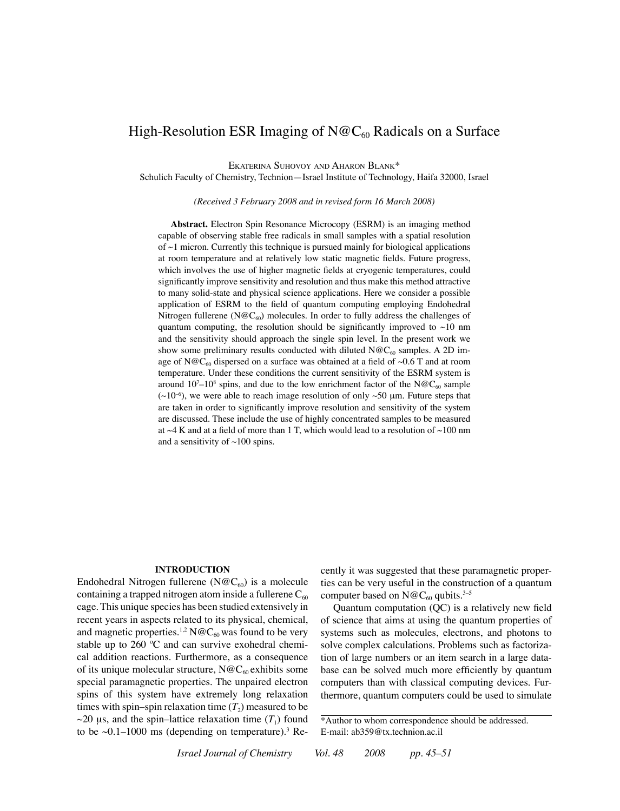# High-Resolution ESR Imaging of  $N@C_{60}$  Radicals on a Surface

Ekaterina Suhovoy and Aharon Blank\*

Schulich Faculty of Chemistry, Technion—Israel Institute of Technology, Haifa 32000, Israel

*(Received 3 February 2008 and in revised form 16 March 2008)*

**Abstract.** Electron Spin Resonance Microcopy (ESRM) is an imaging method capable of observing stable free radicals in small samples with a spatial resolution of  $\sim$ 1 micron. Currently this technique is pursued mainly for biological applications at room temperature and at relatively low static magnetic fields. Future progress, which involves the use of higher magnetic fields at cryogenic temperatures, could significantly improve sensitivity and resolution and thus make this method attractive to many solid-state and physical science applications. Here we consider a possible application of ESRM to the field of quantum computing employing Endohedral Nitrogen fullerene (N@C<sub>60</sub>) molecules. In order to fully address the challenges of quantum computing, the resolution should be significantly improved to  $\sim$ 10 nm and the sensitivity should approach the single spin level. In the present work we show some preliminary results conducted with diluted  $N@C_{60}$  samples. A 2D image of N@C<sub>60</sub> dispersed on a surface was obtained at a field of ~0.6 T and at room temperature. Under these conditions the current sensitivity of the ESRM system is around  $10^7$ – $10^8$  spins, and due to the low enrichment factor of the N@C<sub>60</sub> sample  $(\sim 10^{-6})$ , we were able to reach image resolution of only  $\sim 50$  µm. Future steps that are taken in order to significantly improve resolution and sensitivity of the system are discussed. These include the use of highly concentrated samples to be measured at  $\sim$ 4 K and at a field of more than 1 T, which would lead to a resolution of  $\sim$ 100 nm and a sensitivity of  $\sim$ 100 spins.

#### **Introduction**

Endohedral Nitrogen fullerene (N@C<sub>60</sub>) is a molecule containing a trapped nitrogen atom inside a fullerene  $C_{60}$ cage. This unique species has been studied extensively in recent years in aspects related to its physical, chemical, and magnetic properties.<sup>1,2</sup> N@C<sub>60</sub> was found to be very stable up to 260 ºC and can survive exohedral chemical addition reactions. Furthermore, as a consequence of its unique molecular structure,  $N@C_{60}$  exhibits some special paramagnetic properties. The unpaired electron spins of this system have extremely long relaxation times with spin–spin relaxation time  $(T_2)$  measured to be  $\sim$ 20 µs, and the spin–lattice relaxation time  $(T_1)$  found to be  $\sim 0.1 - 1000$  ms (depending on temperature).<sup>3</sup> Recently it was suggested that these paramagnetic properties can be very useful in the construction of a quantum computer based on  $N@C_{60}$  qubits.<sup>3–5</sup>

Quantum computation (QC) is a relatively new field of science that aims at using the quantum properties of systems such as molecules, electrons, and photons to solve complex calculations. Problems such as factorization of large numbers or an item search in a large database can be solved much more efficiently by quantum computers than with classical computing devices. Furthermore, quantum computers could be used to simulate

*Israel Journal of Chemistry Vol. 48 2008 pp. 45–51*

<sup>\*</sup>Author to whom correspondence should be addressed. E-mail: ab359@tx.technion.ac.il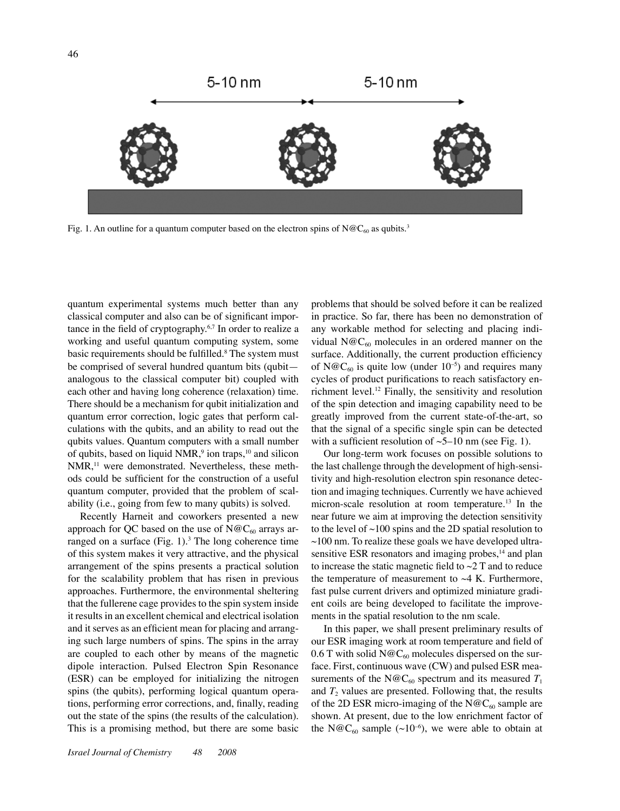

Fig. 1. An outline for a quantum computer based on the electron spins of  $N@C_{60}$  as qubits.<sup>3</sup>

quantum experimental systems much better than any classical computer and also can be of significant importance in the field of cryptography. $6,7$  In order to realize a working and useful quantum computing system, some basic requirements should be fulfilled.<sup>8</sup> The system must be comprised of several hundred quantum bits (qubit analogous to the classical computer bit) coupled with each other and having long coherence (relaxation) time. There should be a mechanism for qubit initialization and quantum error correction, logic gates that perform calculations with the qubits, and an ability to read out the qubits values. Quantum computers with a small number of qubits, based on liquid  $NMR$ , ion traps,  $10$  and silicon NMR,<sup>11</sup> were demonstrated. Nevertheless, these methods could be sufficient for the construction of a useful quantum computer, provided that the problem of scalability (i.e., going from few to many qubits) is solved.

Recently Harneit and coworkers presented a new approach for QC based on the use of  $N@C_{60}$  arrays arranged on a surface  $(Fig. 1)$ .<sup>3</sup> The long coherence time of this system makes it very attractive, and the physical arrangement of the spins presents a practical solution for the scalability problem that has risen in previous approaches. Furthermore, the environmental sheltering that the fullerene cage provides to the spin system inside it results in an excellent chemical and electrical isolation and it serves as an efficient mean for placing and arranging such large numbers of spins. The spins in the array are coupled to each other by means of the magnetic dipole interaction. Pulsed Electron Spin Resonance (ESR) can be employed for initializing the nitrogen spins (the qubits), performing logical quantum operations, performing error corrections, and, finally, reading out the state of the spins (the results of the calculation). This is a promising method, but there are some basic

problems that should be solved before it can be realized in practice. So far, there has been no demonstration of any workable method for selecting and placing individual  $N@C_{60}$  molecules in an ordered manner on the surface. Additionally, the current production efficiency of N@C<sub>60</sub> is quite low (under  $10^{-5}$ ) and requires many cycles of product purifications to reach satisfactory enrichment level.12 Finally, the sensitivity and resolution of the spin detection and imaging capability need to be greatly improved from the current state-of-the-art, so that the signal of a specific single spin can be detected with a sufficient resolution of  $\sim$  5–10 nm (see Fig. 1).

Our long-term work focuses on possible solutions to the last challenge through the development of high-sensitivity and high-resolution electron spin resonance detection and imaging techniques. Currently we have achieved micron-scale resolution at room temperature.13 In the near future we aim at improving the detection sensitivity to the level of  $\sim$ 100 spins and the 2D spatial resolution to  $\sim$ 100 nm. To realize these goals we have developed ultrasensitive ESR resonators and imaging probes, $<sup>14</sup>$  and plan</sup> to increase the static magnetic field to  $\sim$ 2 T and to reduce the temperature of measurement to  $\sim$ 4 K. Furthermore, fast pulse current drivers and optimized miniature gradient coils are being developed to facilitate the improvements in the spatial resolution to the nm scale.

In this paper, we shall present preliminary results of our ESR imaging work at room temperature and field of 0.6 T with solid N@C<sub>60</sub> molecules dispersed on the surface. First, continuous wave (CW) and pulsed ESR measurements of the N@C<sub>60</sub> spectrum and its measured  $T_1$ and  $T_2$  values are presented. Following that, the results of the 2D ESR micro-imaging of the  $N@C_{60}$  sample are shown. At present, due to the low enrichment factor of the N@C<sub>60</sub> sample ( $\sim$ 10<sup>-6</sup>), we were able to obtain at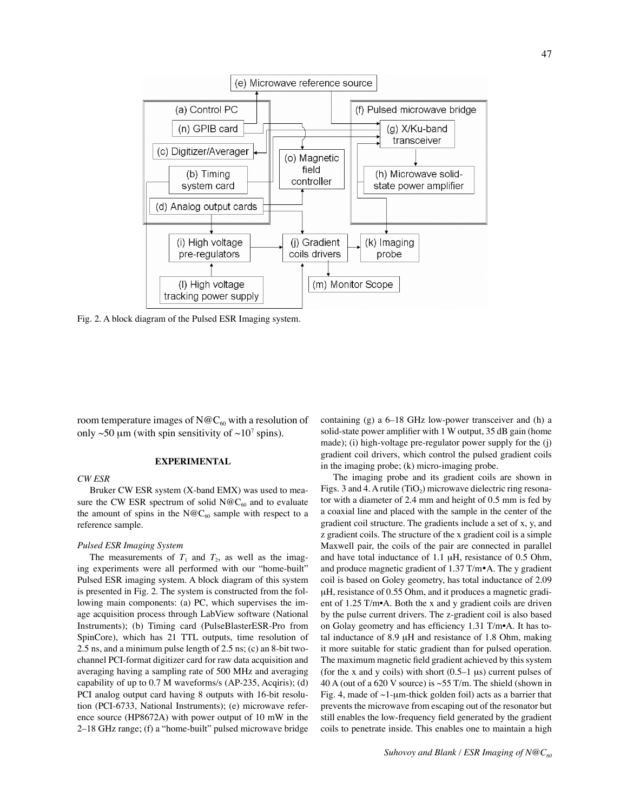

Fig. 2. A block diagram of the Pulsed ESR Imaging system.

room temperature images of  $N@C_{60}$  with a resolution of only  $\sim$ 50  $\mu$ m (with spin sensitivity of  $\sim$ 10<sup>7</sup> spins).

#### **Experimental**

## *CW ESR*

# Bruker CW ESR system (X-band EMX) was used to measure the CW ESR spectrum of solid  $N@C_{60}$  and to evaluate the amount of spins in the N@C<sub>60</sub> sample with respect to a reference sample.

### *Pulsed ESR Imaging System*

The measurements of  $T_1$  and  $T_2$ , as well as the imaging experiments were all performed with our "home-built" Pulsed ESR imaging system. A block diagram of this system is presented in Fig. 2. The system is constructed from the following main components: (a) PC, which supervises the image acquisition process through LabView software (National Instruments); (b) Timing card (PulseBlasterESR-Pro from SpinCore), which has 21 TTL outputs, time resolution of 2.5 ns, and a minimum pulse length of 2.5 ns; (c) an 8-bit twochannel PCI-format digitizer card for raw data acquisition and averaging having a sampling rate of 500 MHz and averaging capability of up to 0.7 M waveforms/s (AP-235, Acqiris); (d) PCI analog output card having 8 outputs with 16-bit resolution (PCI-6733, National Instruments); (e) microwave reference source (HP8672A) with power output of 10 mW in the 2–18 GHz range; (f) a "home-built" pulsed microwave bridge

containing (g) a 6–18 GHz low-power transceiver and (h) a solid-state power amplifier with 1 W output, 35 dB gain (home made); (i) high-voltage pre-regulator power supply for the (j) gradient coil drivers, which control the pulsed gradient coils in the imaging probe; (k) micro-imaging probe.

The imaging probe and its gradient coils are shown in Figs. 3 and 4. A rutile (TiO<sub>2</sub>) microwave dielectric ring resonator with a diameter of 2.4 mm and height of 0.5 mm is fed by a coaxial line and placed with the sample in the center of the gradient coil structure. The gradients include a set of x, y, and z gradient coils. The structure of the x gradient coil is a simple Maxwell pair, the coils of the pair are connected in parallel and have total inductance of 1.1 µH, resistance of 0.5 Ohm, and produce magnetic gradient of 1.37 T/m•A. The y gradient coil is based on Goley geometry, has total inductance of 2.09 µH, resistance of 0.55 Ohm, and it produces a magnetic gradient of 1.25 T/m•A. Both the x and y gradient coils are driven by the pulse current drivers. The z-gradient coil is also based on Golay geometry and has efficiency 1.31 T/m•A. It has total inductance of 8.9 µH and resistance of 1.8 Ohm, making it more suitable for static gradient than for pulsed operation. The maximum magnetic field gradient achieved by this system (for the x and y coils) with short  $(0.5-1 \mu s)$  current pulses of 40 A (out of a 620 V source) is  $\sim$  55 T/m. The shield (shown in Fig. 4, made of  $\sim$ 1-µm-thick golden foil) acts as a barrier that prevents the microwave from escaping out of the resonator but still enables the low-frequency field generated by the gradient coils to penetrate inside. This enables one to maintain a high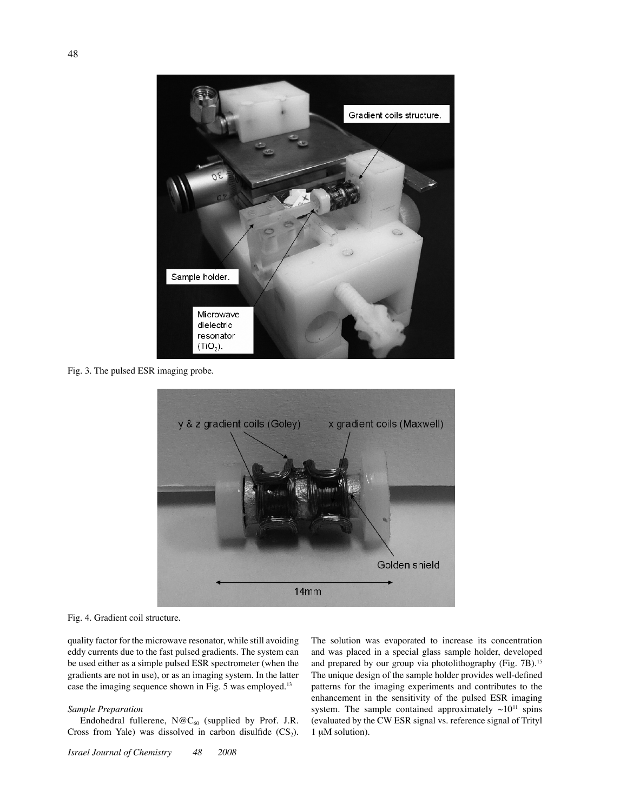

Fig. 3. The pulsed ESR imaging probe.



Fig. 4. Gradient coil structure.

quality factor for the microwave resonator, while still avoiding eddy currents due to the fast pulsed gradients. The system can be used either as a simple pulsed ESR spectrometer (when the gradients are not in use), or as an imaging system. In the latter case the imaging sequence shown in Fig. 5 was employed.13

# *Sample Preparation*

Endohedral fullerene,  $N@C_{60}$  (supplied by Prof. J.R. Cross from Yale) was dissolved in carbon disulfide  $(CS_2)$ .

*Israel Journal of Chemistry 48 2008*

The solution was evaporated to increase its concentration and was placed in a special glass sample holder, developed and prepared by our group via photolithography (Fig. 7B).<sup>15</sup> The unique design of the sample holder provides well-defined patterns for the imaging experiments and contributes to the enhancement in the sensitivity of the pulsed ESR imaging system. The sample contained approximately  $~10^{11}$  spins (evaluated by the CW ESR signal vs. reference signal of Trityl 1 µM solution).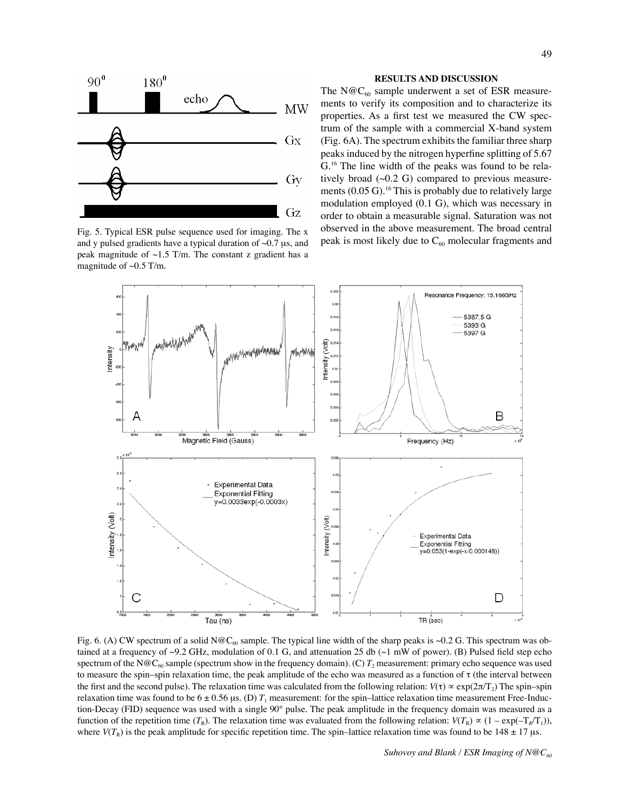

Fig. 5. Typical ESR pulse sequence used for imaging. The x and y pulsed gradients have a typical duration of  $\sim 0.7 \mu s$ , and peak magnitude of  $\sim$ 1.5 T/m. The constant z gradient has a magnitude of  $\sim 0.5$  T/m.

## **results and discussion**

The N@C<sub>60</sub> sample underwent a set of ESR measurements to verify its composition and to characterize its properties. As a first test we measured the CW spectrum of the sample with a commercial X-band system (Fig. 6A). The spectrum exhibits the familiar three sharp peaks induced by the nitrogen hyperfine splitting of 5.67 G.16 The line width of the peaks was found to be relatively broad  $(\sim 0.2 \text{ G})$  compared to previous measurements  $(0.05 \text{ G})$ .<sup>16</sup> This is probably due to relatively large modulation employed (0.1 G), which was necessary in order to obtain a measurable signal. Saturation was not observed in the above measurement. The broad central peak is most likely due to  $C_{60}$  molecular fragments and



Fig. 6. (A) CW spectrum of a solid N@C<sub>60</sub> sample. The typical line width of the sharp peaks is ~0.2 G. This spectrum was obtained at a frequency of ~9.2 GHz, modulation of 0.1 G, and attenuation 25 db (~1 mW of power). (B) Pulsed field step echo spectrum of the N@C<sub>60</sub> sample (spectrum show in the frequency domain). (C)  $T_2$  measurement: primary echo sequence was used to measure the spin–spin relaxation time, the peak amplitude of the echo was measured as a function of  $\tau$  (the interval between the first and the second pulse). The relaxation time was calculated from the following relation:  $V(\tau) \propto \exp(2\pi/\tau)$ . The spin–spin relaxation time was found to be  $6 \pm 0.56$  µs. (D)  $T_1$  measurement: for the spin–lattice relaxation time measurement Free-Induction-Decay (FID) sequence was used with a single 90° pulse. The peak amplitude in the frequency domain was measured as a function of the repetition time  $(T_R)$ . The relaxation time was evaluated from the following relation:  $V(T_R) \propto (1 - \exp(-T_R/T_1))$ , where  $V(T_R)$  is the peak amplitude for specific repetition time. The spin–lattice relaxation time was found to be 148  $\pm$  17 µs.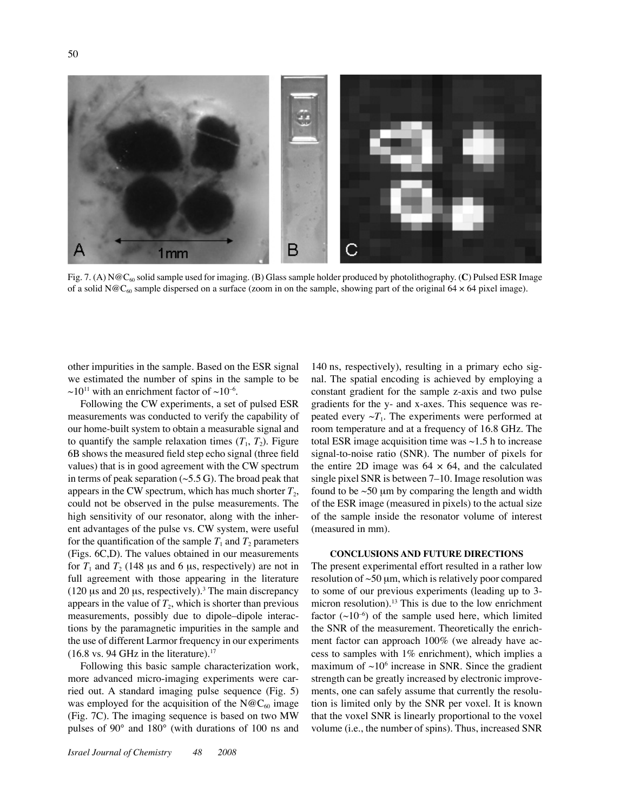

Fig. 7. (A)  $N@C_{60}$  solid sample used for imaging. (B) Glass sample holder produced by photolithography. (C) Pulsed ESR Image of a solid N@C<sub>60</sub> sample dispersed on a surface (zoom in on the sample, showing part of the original 64  $\times$  64 pixel image).

other impurities in the sample. Based on the ESR signal we estimated the number of spins in the sample to be  $\sim$ 10<sup>11</sup> with an enrichment factor of  $\sim$ 10<sup>-6</sup>.

Following the CW experiments, a set of pulsed ESR measurements was conducted to verify the capability of our home-built system to obtain a measurable signal and to quantify the sample relaxation times  $(T_1, T_2)$ . Figure 6B shows the measured field step echo signal (three field values) that is in good agreement with the CW spectrum in terms of peak separation  $(\sim 5.5 \text{ G})$ . The broad peak that appears in the CW spectrum, which has much shorter  $T_2$ , could not be observed in the pulse measurements. The high sensitivity of our resonator, along with the inherent advantages of the pulse vs. CW system, were useful for the quantification of the sample  $T_1$  and  $T_2$  parameters (Figs. 6C,D). The values obtained in our measurements for  $T_1$  and  $T_2$  (148 µs and 6 µs, respectively) are not in full agreement with those appearing in the literature (120  $\mu$ s and 20  $\mu$ s, respectively).<sup>3</sup> The main discrepancy appears in the value of  $T_2$ , which is shorter than previous measurements, possibly due to dipole–dipole interactions by the paramagnetic impurities in the sample and the use of different Larmor frequency in our experiments  $(16.8 \text{ vs. } 94 \text{ GHz in the literature}).$ <sup>17</sup>

Following this basic sample characterization work, more advanced micro-imaging experiments were carried out. A standard imaging pulse sequence (Fig. 5) was employed for the acquisition of the  $N@C_{60}$  image (Fig. 7C). The imaging sequence is based on two MW pulses of 90° and 180° (with durations of 100 ns and

140 ns, respectively), resulting in a primary echo signal. The spatial encoding is achieved by employing a constant gradient for the sample z-axis and two pulse gradients for the y- and x-axes. This sequence was repeated every  $\sim T_1$ . The experiments were performed at room temperature and at a frequency of 16.8 GHz. The total ESR image acquisition time was  $\sim$ 1.5 h to increase signal-to-noise ratio (SNR). The number of pixels for the entire 2D image was  $64 \times 64$ , and the calculated single pixel SNR is between 7–10. Image resolution was found to be  $\sim$  50 µm by comparing the length and width of the ESR image (measured in pixels) to the actual size of the sample inside the resonator volume of interest (measured in mm).

## **Conclusions and future directions**

The present experimental effort resulted in a rather low resolution of  $\sim 50 \mu m$ , which is relatively poor compared to some of our previous experiments (leading up to 3 micron resolution).<sup>13</sup> This is due to the low enrichment factor  $(\sim 10^{-6})$  of the sample used here, which limited the SNR of the measurement. Theoretically the enrichment factor can approach 100% (we already have access to samples with 1% enrichment), which implies a maximum of  $\sim 10^6$  increase in SNR. Since the gradient strength can be greatly increased by electronic improvements, one can safely assume that currently the resolution is limited only by the SNR per voxel. It is known that the voxel SNR is linearly proportional to the voxel volume (i.e., the number of spins). Thus, increased SNR